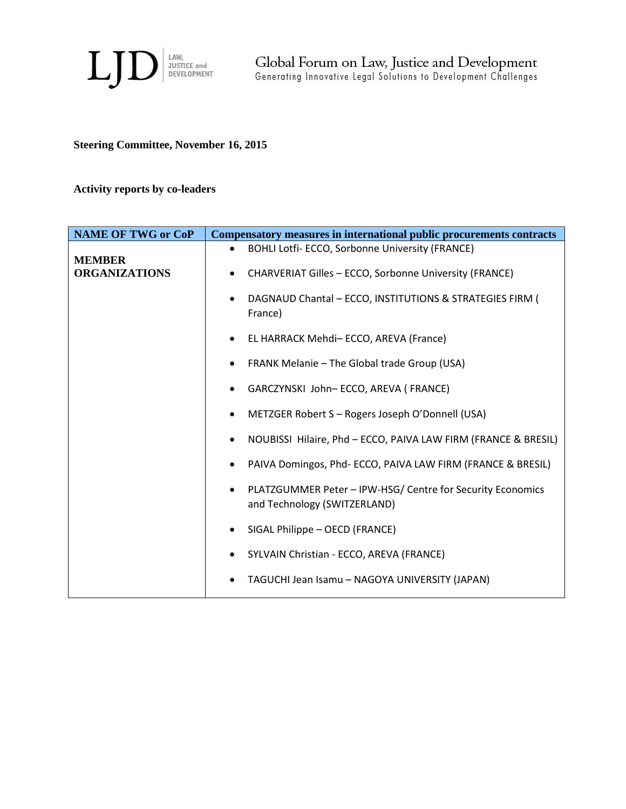

# **Steering Committee, November 16, 2015**

# **Activity reports by co-leaders**

| <b>NAME OF TWG or CoP</b>             | Compensatory measures in international public procurements contracts                                    |
|---------------------------------------|---------------------------------------------------------------------------------------------------------|
|                                       | BOHLI Lotfi- ECCO, Sorbonne University (FRANCE)<br>$\bullet$                                            |
| <b>MEMBER</b><br><b>ORGANIZATIONS</b> | <b>CHARVERIAT Gilles - ECCO, Sorbonne University (FRANCE)</b><br>٠                                      |
|                                       | DAGNAUD Chantal - ECCO, INSTITUTIONS & STRATEGIES FIRM (<br>$\bullet$<br>France)                        |
|                                       | EL HARRACK Mehdi- ECCO, AREVA (France)<br>$\bullet$                                                     |
|                                       | FRANK Melanie - The Global trade Group (USA)<br>$\bullet$                                               |
|                                       | GARCZYNSKI John-ECCO, AREVA (FRANCE)<br>$\bullet$                                                       |
|                                       | METZGER Robert S - Rogers Joseph O'Donnell (USA)<br>٠                                                   |
|                                       | NOUBISSI Hilaire, Phd - ECCO, PAIVA LAW FIRM (FRANCE & BRESIL)<br>$\bullet$                             |
|                                       | PAIVA Domingos, Phd- ECCO, PAIVA LAW FIRM (FRANCE & BRESIL)<br>٠                                        |
|                                       | PLATZGUMMER Peter - IPW-HSG/ Centre for Security Economics<br>$\bullet$<br>and Technology (SWITZERLAND) |
|                                       | SIGAL Philippe - OECD (FRANCE)<br>$\bullet$                                                             |
|                                       | SYLVAIN Christian - ECCO, AREVA (FRANCE)<br>$\bullet$                                                   |
|                                       | TAGUCHI Jean Isamu - NAGOYA UNIVERSITY (JAPAN)                                                          |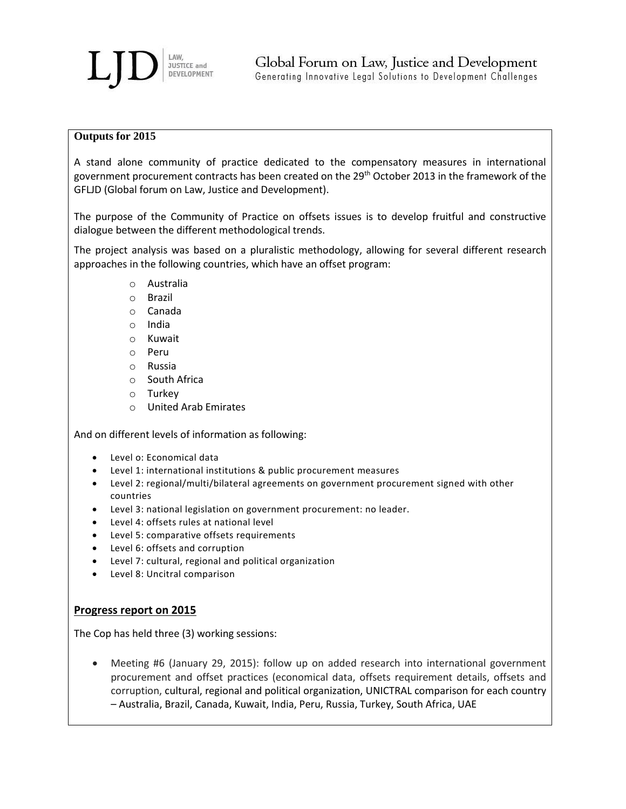

#### **Outputs for 2015**

A stand alone community of practice dedicated to the compensatory measures in international government procurement contracts has been created on the 29th October 2013 in the framework of the GFLJD (Global forum on Law, Justice and Development).

The purpose of the Community of Practice on offsets issues is to develop fruitful and constructive dialogue between the different methodological trends.

The project analysis was based on a pluralistic methodology, allowing for several different research approaches in the following countries, which have an offset program:

- o Australia
- o Brazil
- o Canada
- o India
- o Kuwait
- o Peru
- o Russia
- o South Africa
- o Turkey
- o United Arab Emirates

And on different levels of information as following:

- Level o: Economical data
- Level 1: international institutions & public procurement measures
- Level 2: regional/multi/bilateral agreements on government procurement signed with other countries
- Level 3: national legislation on government procurement: no leader.
- Level 4: offsets rules at national level
- Level 5: comparative offsets requirements
- Level 6: offsets and corruption
- Level 7: cultural, regional and political organization
- Level 8: Uncitral comparison

### **Progress report on 2015**

The Cop has held three (3) working sessions:

 Meeting #6 (January 29, 2015): follow up on added research into international government procurement and offset practices (economical data, offsets requirement details, offsets and corruption, cultural, regional and political organization, UNICTRAL comparison for each country – Australia, Brazil, Canada, Kuwait, India, Peru, Russia, Turkey, South Africa, UAE